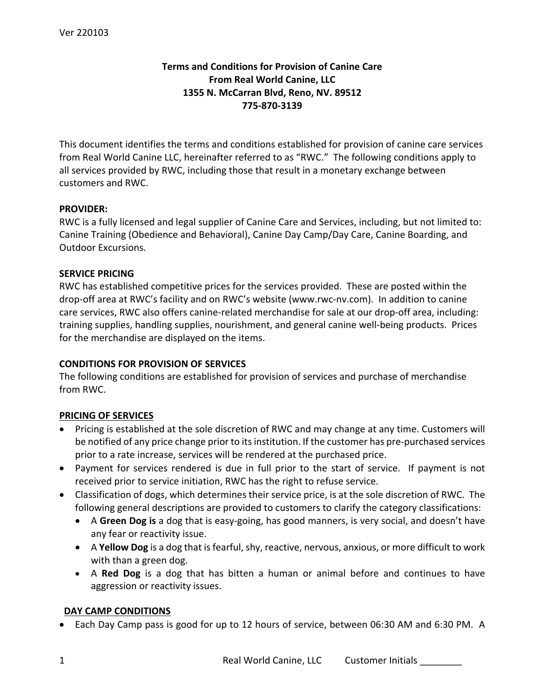# **Terms and Conditions for Provision of Canine Care From Real World Canine, LLC 1355 N. McCarran Blvd, Reno, NV. 89512 775-870-3139**

This document identifies the terms and conditions established for provision of canine care services from Real World Canine LLC, hereinafter referred to as "RWC." The following conditions apply to all services provided by RWC, including those that result in a monetary exchange between customers and RWC.

#### **PROVIDER:**

RWC is a fully licensed and legal supplier of Canine Care and Services, including, but not limited to: Canine Training (Obedience and Behavioral), Canine Day Camp/Day Care, Canine Boarding, and Outdoor Excursions.

#### **SERVICE PRICING**

RWC has established competitive prices for the services provided. These are posted within the drop-off area at RWC's facility and on RWC's website (www.rwc-nv.com).In addition to canine care services, RWC also offers canine-related merchandise for sale at our drop-off area, including: training supplies, handling supplies, nourishment, and general canine well-being products. Prices for the merchandise are displayed on the items.

# **CONDITIONS FOR PROVISION OF SERVICES**

The following conditions are established for provision of services and purchase of merchandise from RWC.

#### **PRICING OF SERVICES**

- Pricing is established at the sole discretion of RWC and may change at any time. Customers will be notified of any price change prior to its institution. If the customer has pre-purchased services prior to a rate increase, services will be rendered at the purchased price.
- Payment for services rendered is due in full prior to the start of service. If payment is not received prior to service initiation, RWC has the right to refuse service.
- Classification of dogs, which determines their service price, is at the sole discretion of RWC. The following general descriptions are provided to customers to clarify the category classifications:
	- A **Green Dog is** a dog that is easy-going, has good manners, is very social, and doesn't have any fear or reactivity issue.
	- A **Yellow Dog** is a dog that is fearful, shy, reactive, nervous, anxious, or more difficult to work with than a green dog.
	- A **Red Dog** is a dog that has bitten a human or animal before and continues to have aggression or reactivity issues.

#### **DAY CAMP CONDITIONS**

• Each Day Camp pass is good for up to 12 hours of service, between 06:30 AM and 6:30 PM. A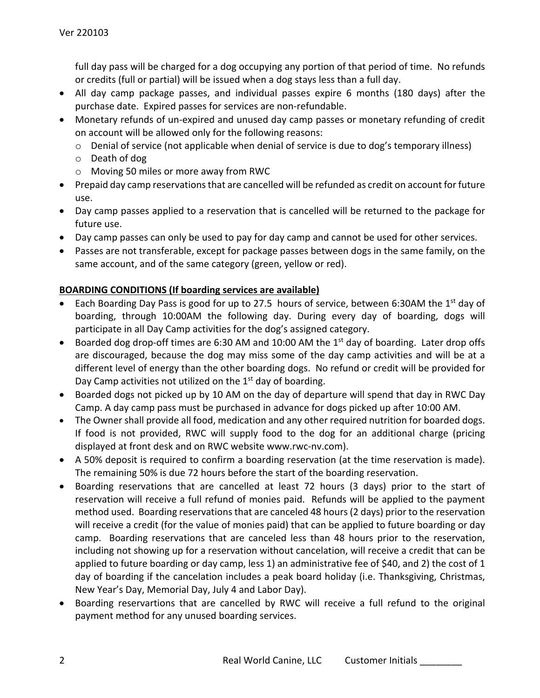full day pass will be charged for a dog occupying any portion of that period of time. No refunds or credits (full or partial) will be issued when a dog stays less than a full day.

- All day camp package passes, and individual passes expire 6 months (180 days) after the purchase date. Expired passes for services are non-refundable.
- Monetary refunds of un-expired and unused day camp passes or monetary refunding of credit on account will be allowed only for the following reasons:
	- o Denial of service (not applicable when denial of service is due to dog's temporary illness)
	- o Death of dog
	- o Moving 50 miles or more away from RWC
- Prepaid day camp reservations that are cancelled will be refunded as credit on account for future use.
- Day camp passes applied to a reservation that is cancelled will be returned to the package for future use.
- Day camp passes can only be used to pay for day camp and cannot be used for other services.
- Passes are not transferable, except for package passes between dogs in the same family, on the same account, and of the same category (green, yellow or red).

# **BOARDING CONDITIONS (If boarding services are available)**

- Each Boarding Day Pass is good for up to 27.5 hours of service, between 6:30AM the 1<sup>st</sup> day of boarding, through 10:00AM the following day. During every day of boarding, dogs will participate in all Day Camp activities for the dog's assigned category.
- Boarded dog drop-off times are 6:30 AM and 10:00 AM the 1<sup>st</sup> day of boarding. Later drop offs are discouraged, because the dog may miss some of the day camp activities and will be at a different level of energy than the other boarding dogs. No refund or credit will be provided for Day Camp activities not utilized on the  $1<sup>st</sup>$  day of boarding.
- Boarded dogs not picked up by 10 AM on the day of departure will spend that day in RWC Day Camp. A day camp pass must be purchased in advance for dogs picked up after 10:00 AM.
- The Owner shall provide all food, medication and any other required nutrition for boarded dogs. If food is not provided, RWC will supply food to the dog for an additional charge (pricing displayed at front desk and on RWC website www.rwc-nv.com).
- A 50% deposit is required to confirm a boarding reservation (at the time reservation is made). The remaining 50% is due 72 hours before the start of the boarding reservation.
- Boarding reservations that are cancelled at least 72 hours (3 days) prior to the start of reservation will receive a full refund of monies paid. Refunds will be applied to the payment method used. Boarding reservations that are canceled 48 hours (2 days) prior to the reservation will receive a credit (for the value of monies paid) that can be applied to future boarding or day camp. Boarding reservations that are canceled less than 48 hours prior to the reservation, including not showing up for a reservation without cancelation, will receive a credit that can be applied to future boarding or day camp, less 1) an administrative fee of \$40, and 2) the cost of 1 day of boarding if the cancelation includes a peak board holiday (i.e. Thanksgiving, Christmas, New Year's Day, Memorial Day, July 4 and Labor Day).
- Boarding reservartions that are cancelled by RWC will receive a full refund to the original payment method for any unused boarding services.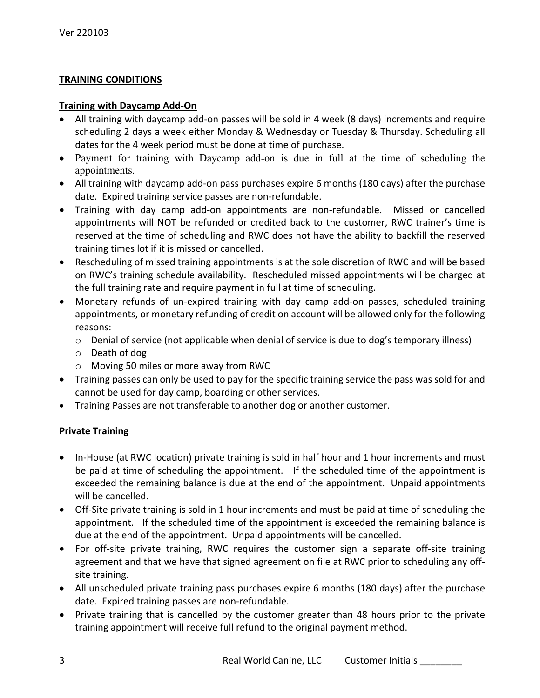## **TRAINING CONDITIONS**

#### **Training with Daycamp Add-On**

- All training with daycamp add-on passes will be sold in 4 week (8 days) increments and require scheduling 2 days a week either Monday & Wednesday or Tuesday & Thursday. Scheduling all dates for the 4 week period must be done at time of purchase.
- Payment for training with Daycamp add-on is due in full at the time of scheduling the appointments.
- All training with daycamp add-on pass purchases expire 6 months (180 days) after the purchase date. Expired training service passes are non-refundable.
- Training with day camp add-on appointments are non-refundable. Missed or cancelled appointments will NOT be refunded or credited back to the customer, RWC trainer's time is reserved at the time of scheduling and RWC does not have the ability to backfill the reserved training times lot if it is missed or cancelled.
- Rescheduling of missed training appointments is at the sole discretion of RWC and will be based on RWC's training schedule availability. Rescheduled missed appointments will be charged at the full training rate and require payment in full at time of scheduling.
- Monetary refunds of un-expired training with day camp add-on passes, scheduled training appointments, or monetary refunding of credit on account will be allowed only for the following reasons:
	- o Denial of service (not applicable when denial of service is due to dog's temporary illness)
	- o Death of dog
	- o Moving 50 miles or more away from RWC
- Training passes can only be used to pay for the specific training service the pass was sold for and cannot be used for day camp, boarding or other services.
- Training Passes are not transferable to another dog or another customer.

# **Private Training**

- In-House (at RWC location) private training is sold in half hour and 1 hour increments and must be paid at time of scheduling the appointment. If the scheduled time of the appointment is exceeded the remaining balance is due at the end of the appointment. Unpaid appointments will be cancelled.
- Off-Site private training is sold in 1 hour increments and must be paid at time of scheduling the appointment. If the scheduled time of the appointment is exceeded the remaining balance is due at the end of the appointment. Unpaid appointments will be cancelled.
- For off-site private training, RWC requires the customer sign a separate off-site training agreement and that we have that signed agreement on file at RWC prior to scheduling any offsite training.
- All unscheduled private training pass purchases expire 6 months (180 days) after the purchase date. Expired training passes are non-refundable.
- Private training that is cancelled by the customer greater than 48 hours prior to the private training appointment will receive full refund to the original payment method.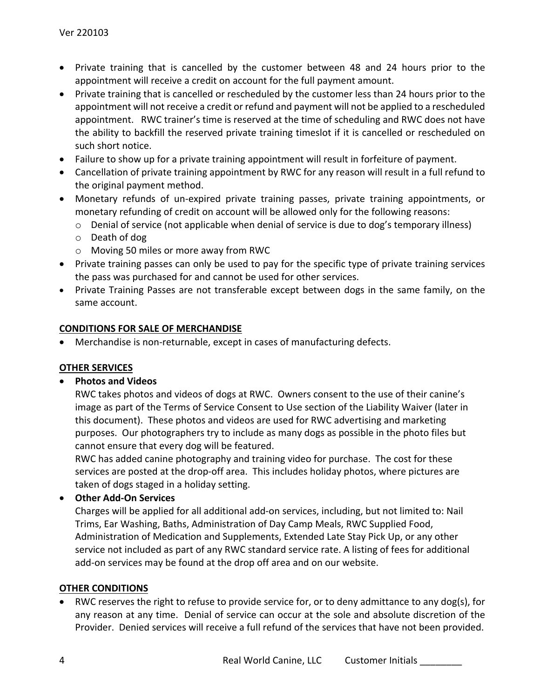- Private training that is cancelled by the customer between 48 and 24 hours prior to the appointment will receive a credit on account for the full payment amount.
- Private training that is cancelled or rescheduled by the customer less than 24 hours prior to the appointment will not receive a credit or refund and payment will not be applied to a rescheduled appointment. RWC trainer's time is reserved at the time of scheduling and RWC does not have the ability to backfill the reserved private training timeslot if it is cancelled or rescheduled on such short notice.
- Failure to show up for a private training appointment will result in forfeiture of payment.
- Cancellation of private training appointment by RWC for any reason will result in a full refund to the original payment method.
- Monetary refunds of un-expired private training passes, private training appointments, or monetary refunding of credit on account will be allowed only for the following reasons:
	- $\circ$  Denial of service (not applicable when denial of service is due to dog's temporary illness)
	- o Death of dog
	- o Moving 50 miles or more away from RWC
- Private training passes can only be used to pay for the specific type of private training services the pass was purchased for and cannot be used for other services.
- Private Training Passes are not transferable except between dogs in the same family, on the same account.

#### **CONDITIONS FOR SALE OF MERCHANDISE**

• Merchandise is non-returnable, except in cases of manufacturing defects.

# **OTHER SERVICES**

# • **Photos and Videos**

RWC takes photos and videos of dogs at RWC. Owners consent to the use of their canine's image as part of the Terms of Service Consent to Use section of the Liability Waiver (later in this document). These photos and videos are used for RWC advertising and marketing purposes. Our photographers try to include as many dogs as possible in the photo files but cannot ensure that every dog will be featured.

RWC has added canine photography and training video for purchase. The cost for these services are posted at the drop-off area. This includes holiday photos, where pictures are taken of dogs staged in a holiday setting.

# • **Other Add-On Services**

Charges will be applied for all additional add-on services, including, but not limited to: Nail Trims, Ear Washing, Baths, Administration of Day Camp Meals, RWC Supplied Food, Administration of Medication and Supplements, Extended Late Stay Pick Up, or any other service not included as part of any RWC standard service rate. A listing of fees for additional add-on services may be found at the drop off area and on our website.

#### **OTHER CONDITIONS**

• RWC reserves the right to refuse to provide service for, or to deny admittance to any dog(s), for any reason at any time. Denial of service can occur at the sole and absolute discretion of the Provider. Denied services will receive a full refund of the services that have not been provided.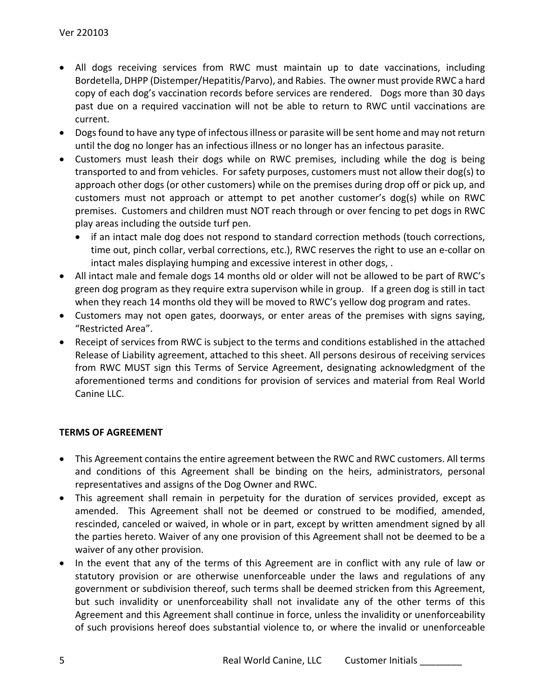- All dogs receiving services from RWC must maintain up to date vaccinations, including Bordetella, DHPP (Distemper/Hepatitis/Parvo), and Rabies. The owner must provide RWC a hard copy of each dog's vaccination records before services are rendered. Dogs more than 30 days past due on a required vaccination will not be able to return to RWC until vaccinations are current.
- Dogs found to have any type of infectous illness or parasite will be sent home and may not return until the dog no longer has an infectious illness or no longer has an infectous parasite.
- Customers must leash their dogs while on RWC premises, including while the dog is being transported to and from vehicles. For safety purposes, customers must not allow their dog(s) to approach other dogs (or other customers) while on the premises during drop off or pick up, and customers must not approach or attempt to pet another customer's dog(s) while on RWC premises. Customers and children must NOT reach through or over fencing to pet dogs in RWC play areas including the outside turf pen.
	- if an intact male dog does not respond to standard correction methods (touch corrections, time out, pinch collar, verbal corrections, etc.), RWC reserves the right to use an e-collar on intact males displaying humping and excessive interest in other dogs, .
- All intact male and female dogs 14 months old or older will not be allowed to be part of RWC's green dog program as they require extra supervison while in group. If a green dog is still in tact when they reach 14 months old they will be moved to RWC's yellow dog program and rates.
- Customers may not open gates, doorways, or enter areas of the premises with signs saying, "Restricted Area".
- Receipt of services from RWC is subject to the terms and conditions established in the attached Release of Liability agreement, attached to this sheet. All persons desirous of receiving services from RWC MUST sign this Terms of Service Agreement, designating acknowledgment of the aforementioned terms and conditions for provision of services and material from Real World Canine LLC.

# **TERMS OF AGREEMENT**

- This Agreement contains the entire agreement between the RWC and RWC customers. All terms and conditions of this Agreement shall be binding on the heirs, administrators, personal representatives and assigns of the Dog Owner and RWC.
- This agreement shall remain in perpetuity for the duration of services provided, except as amended. This Agreement shall not be deemed or construed to be modified, amended, rescinded, canceled or waived, in whole or in part, except by written amendment signed by all the parties hereto. Waiver of any one provision of this Agreement shall not be deemed to be a waiver of any other provision.
- In the event that any of the terms of this Agreement are in conflict with any rule of law or statutory provision or are otherwise unenforceable under the laws and regulations of any government or subdivision thereof, such terms shall be deemed stricken from this Agreement, but such invalidity or unenforceability shall not invalidate any of the other terms of this Agreement and this Agreement shall continue in force, unless the invalidity or unenforceability of such provisions hereof does substantial violence to, or where the invalid or unenforceable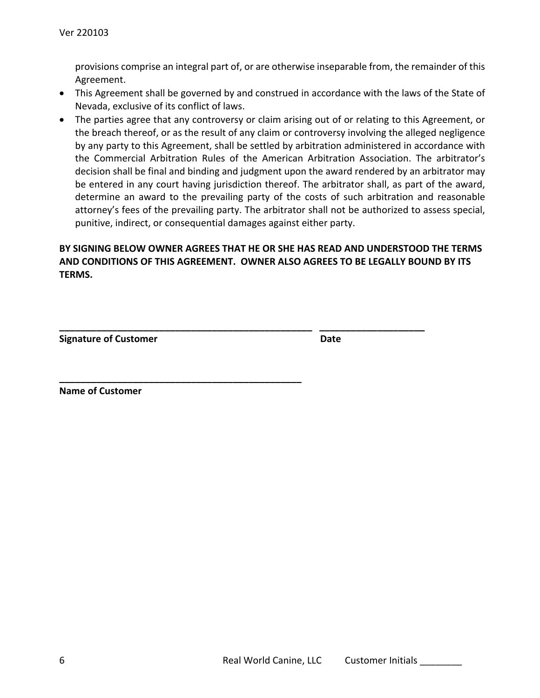provisions comprise an integral part of, or are otherwise inseparable from, the remainder of this Agreement.

- This Agreement shall be governed by and construed in accordance with the laws of the State of Nevada, exclusive of its conflict of laws.
- The parties agree that any controversy or claim arising out of or relating to this Agreement, or the breach thereof, or as the result of any claim or controversy involving the alleged negligence by any party to this Agreement, shall be settled by arbitration administered in accordance with the Commercial Arbitration Rules of the American Arbitration Association. The arbitrator's decision shall be final and binding and judgment upon the award rendered by an arbitrator may be entered in any court having jurisdiction thereof. The arbitrator shall, as part of the award, determine an award to the prevailing party of the costs of such arbitration and reasonable attorney's fees of the prevailing party. The arbitrator shall not be authorized to assess special, punitive, indirect, or consequential damages against either party.

# **BY SIGNING BELOW OWNER AGREES THAT HE OR SHE HAS READ AND UNDERSTOOD THE TERMS AND CONDITIONS OF THIS AGREEMENT. OWNER ALSO AGREES TO BE LEGALLY BOUND BY ITS TERMS.**

**\_\_\_\_\_\_\_\_\_\_\_\_\_\_\_\_\_\_\_\_\_\_\_\_\_\_\_\_\_\_\_\_\_\_\_\_\_\_\_\_\_\_\_\_\_\_\_\_ \_\_\_\_\_\_\_\_\_\_\_\_\_\_\_\_\_\_\_\_**

**\_\_\_\_\_\_\_\_\_\_\_\_\_\_\_\_\_\_\_\_\_\_\_\_\_\_\_\_\_\_\_\_\_\_\_\_\_\_\_\_\_\_\_\_\_\_**

**Signature of Customer Community Community Community Community Community Community Community Community Community** 

**Name of Customer**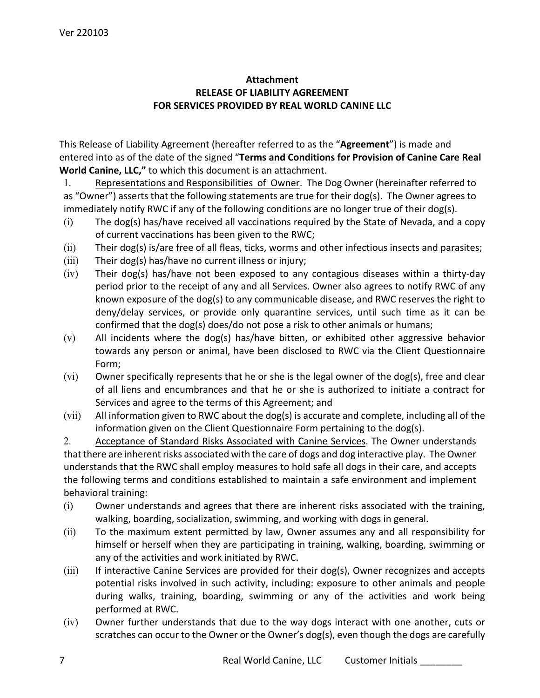# **Attachment RELEASE OF LIABILITY AGREEMENT FOR SERVICES PROVIDED BY REAL WORLD CANINE LLC**

This Release of Liability Agreement (hereafter referred to as the "**Agreement**") is made and entered into as of the date of the signed "**Terms and Conditions for Provision of Canine Care Real World Canine, LLC,"** to which this document is an attachment.

1. Representations and Responsibilities of Owner. The Dog Owner (hereinafter referred to as "Owner") asserts that the following statements are true for their dog(s). The Owner agrees to immediately notify RWC if any of the following conditions are no longer true of their dog(s).

- (i) The dog(s) has/have received all vaccinations required by the State of Nevada, and a copy of current vaccinations has been given to the RWC;
- (ii) Their dog(s) is/are free of all fleas, ticks, worms and other infectious insects and parasites;
- (iii) Their dog(s) has/have no current illness or injury;
- (iv) Their dog(s) has/have not been exposed to any contagious diseases within a thirty-day period prior to the receipt of any and all Services. Owner also agrees to notify RWC of any known exposure of the dog(s) to any communicable disease, and RWC reserves the right to deny/delay services, or provide only quarantine services, until such time as it can be confirmed that the dog(s) does/do not pose a risk to other animals or humans;
- (v) All incidents where the dog(s) has/have bitten, or exhibited other aggressive behavior towards any person or animal, have been disclosed to RWC via the Client Questionnaire Form;
- (vi) Owner specifically represents that he or she is the legal owner of the dog(s), free and clear of all liens and encumbrances and that he or she is authorized to initiate a contract for Services and agree to the terms of this Agreement; and
- (vii) All information given to RWC about the dog(s) is accurate and complete, including all of the information given on the Client Questionnaire Form pertaining to the dog(s).

2. Acceptance of Standard Risks Associated with Canine Services. The Owner understands that there are inherent risks associated with the care of dogs and dog interactive play. The Owner understands that the RWC shall employ measures to hold safe all dogs in their care, and accepts the following terms and conditions established to maintain a safe environment and implement behavioral training:

- (i) Owner understands and agrees that there are inherent risks associated with the training, walking, boarding, socialization, swimming, and working with dogs in general.
- (ii) To the maximum extent permitted by law, Owner assumes any and all responsibility for himself or herself when they are participating in training, walking, boarding, swimming or any of the activities and work initiated by RWC.
- (iii) If interactive Canine Services are provided for their dog(s), Owner recognizes and accepts potential risks involved in such activity, including: exposure to other animals and people during walks, training, boarding, swimming or any of the activities and work being performed at RWC.
- (iv) Owner further understands that due to the way dogs interact with one another, cuts or scratches can occur to the Owner or the Owner's dog(s), even though the dogs are carefully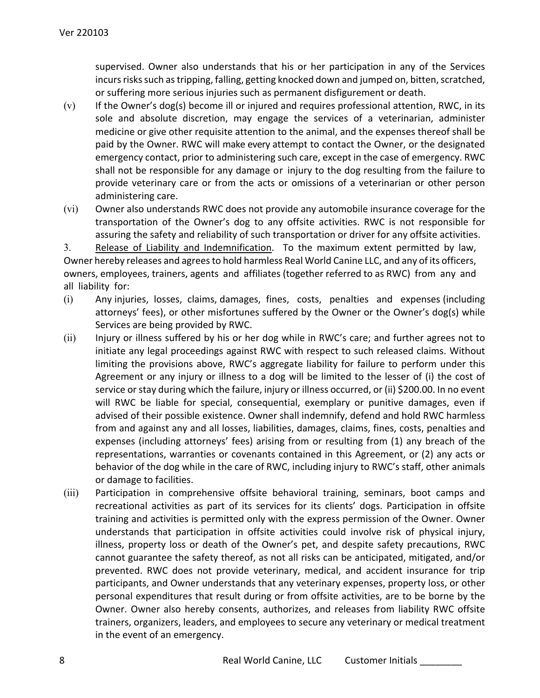supervised. Owner also understands that his or her participation in any of the Services incurs risks such as tripping, falling, getting knocked down and jumped on, bitten, scratched, or suffering more serious injuries such as permanent disfigurement or death.

- $(v)$  If the Owner's dog(s) become ill or injured and requires professional attention, RWC, in its sole and absolute discretion, may engage the services of a veterinarian, administer medicine or give other requisite attention to the animal, and the expenses thereof shall be paid by the Owner. RWC will make every attempt to contact the Owner, or the designated emergency contact, prior to administering such care, except in the case of emergency. RWC shall not be responsible for any damage or injury to the dog resulting from the failure to provide veterinary care or from the acts or omissions of a veterinarian or other person administering care.
- (vi) Owner also understands RWC does not provide any automobile insurance coverage for the transportation of the Owner's dog to any offsite activities. RWC is not responsible for assuring the safety and reliability of such transportation or driver for any offsite activities.

3. Release of Liability and Indemnification. To the maximum extent permitted by law, Owner hereby releases and agrees to hold harmless Real World Canine LLC, and any of its officers, owners, employees, trainers, agents and affiliates (together referred to as RWC) from any and all liability for:

- (i) Any injuries, losses, claims, damages, fines, costs, penalties and expenses (including attorneys' fees), or other misfortunes suffered by the Owner or the Owner's dog(s) while Services are being provided by RWC.
- (ii) Injury or illness suffered by his or her dog while in RWC's care; and further agrees not to initiate any legal proceedings against RWC with respect to such released claims. Without limiting the provisions above, RWC's aggregate liability for failure to perform under this Agreement or any injury or illness to a dog will be limited to the lesser of (i) the cost of service or stay during which the failure, injury or illness occurred, or (ii) \$200.00. In no event will RWC be liable for special, consequential, exemplary or punitive damages, even if advised of their possible existence. Owner shall indemnify, defend and hold RWC harmless from and against any and all losses, liabilities, damages, claims, fines, costs, penalties and expenses (including attorneys' fees) arising from or resulting from (1) any breach of the representations, warranties or covenants contained in this Agreement, or (2) any acts or behavior of the dog while in the care of RWC, including injury to RWC's staff, other animals or damage to facilities.
- (iii) Participation in comprehensive offsite behavioral training, seminars, boot camps and recreational activities as part of its services for its clients' dogs. Participation in offsite training and activities is permitted only with the express permission of the Owner. Owner understands that participation in offsite activities could involve risk of physical injury, illness, property loss or death of the Owner's pet, and despite safety precautions, RWC cannot guarantee the safety thereof, as not all risks can be anticipated, mitigated, and/or prevented. RWC does not provide veterinary, medical, and accident insurance for trip participants, and Owner understands that any veterinary expenses, property loss, or other personal expenditures that result during or from offsite activities, are to be borne by the Owner. Owner also hereby consents, authorizes, and releases from liability RWC offsite trainers, organizers, leaders, and employees to secure any veterinary or medical treatment in the event of an emergency.